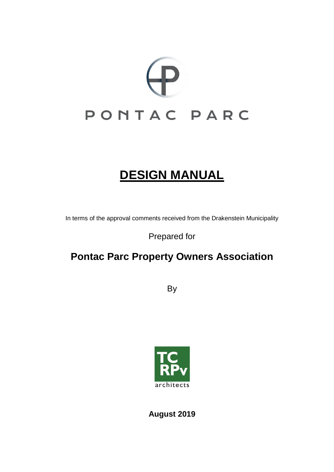

# **DESIGN MANUAL**

In terms of the approval comments received from the Drakenstein Municipality

Prepared for

# **Pontac Parc Property Owners Association**

**By** 



**August 2019**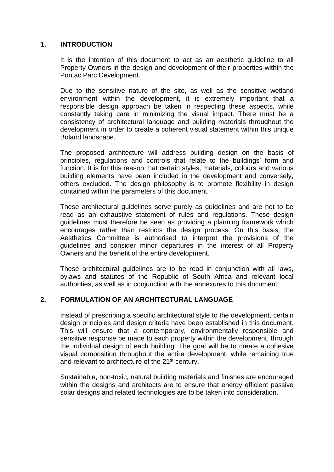# **1. INTRODUCTION**

It is the intention of this document to act as an aesthetic guideline to all Property Owners in the design and development of their properties within the Pontac Parc Development.

Due to the sensitive nature of the site, as well as the sensitive wetland environment within the development, it is extremely important that a responsible design approach be taken in respecting these aspects, while constantly taking care in minimizing the visual impact. There must be a consistency of architectural language and building materials throughout the development in order to create a coherent visual statement within this unique Boland landscape.

The proposed architecture will address building design on the basis of principles, regulations and controls that relate to the buildings' form and function. It is for this reason that certain styles, materials, colours and various building elements have been included in the development and conversely, others excluded. The design philosophy is to promote flexibility in design contained within the parameters of this document.

These architectural guidelines serve purely as guidelines and are not to be read as an exhaustive statement of rules and regulations. These design guidelines must therefore be seen as providing a planning framework which encourages rather than restricts the design process. On this basis, the Aesthetics Committee is authorised to interpret the provisions of the guidelines and consider minor departures in the interest of all Property Owners and the benefit of the entire development.

These architectural guidelines are to be read in conjunction with all laws, bylaws and statutes of the Republic of South Africa and relevant local authorities, as well as in conjunction with the annexures to this document.

#### **2. FORMULATION OF AN ARCHITECTURAL LANGUAGE**

Instead of prescribing a specific architectural style to the development, certain design principles and design criteria have been established in this document. This will ensure that a contemporary, environmentally responsible and sensitive response be made to each property within the development, through the individual design of each building. The goal will be to create a cohesive visual composition throughout the entire development, while remaining true and relevant to architecture of the 21<sup>st</sup> century.

Sustainable, non-toxic, natural building materials and finishes are encouraged within the designs and architects are to ensure that energy efficient passive solar designs and related technologies are to be taken into consideration.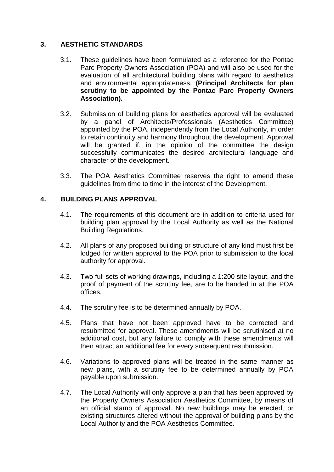# **3. AESTHETIC STANDARDS**

- 3.1. These guidelines have been formulated as a reference for the Pontac Parc Property Owners Association (POA) and will also be used for the evaluation of all architectural building plans with regard to aesthetics and environmental appropriateness. **(Principal Architects for plan scrutiny to be appointed by the Pontac Parc Property Owners Association).**
- 3.2. Submission of building plans for aesthetics approval will be evaluated by a panel of Architects/Professionals (Aesthetics Committee) appointed by the POA, independently from the Local Authority, in order to retain continuity and harmony throughout the development. Approval will be granted if, in the opinion of the committee the design successfully communicates the desired architectural language and character of the development.
- 3.3. The POA Aesthetics Committee reserves the right to amend these guidelines from time to time in the interest of the Development.

# **4. BUILDING PLANS APPROVAL**

- 4.1. The requirements of this document are in addition to criteria used for building plan approval by the Local Authority as well as the National Building Regulations.
- 4.2. All plans of any proposed building or structure of any kind must first be lodged for written approval to the POA prior to submission to the local authority for approval.
- 4.3. Two full sets of working drawings, including a 1:200 site layout, and the proof of payment of the scrutiny fee, are to be handed in at the POA offices.
- 4.4. The scrutiny fee is to be determined annually by POA.
- 4.5. Plans that have not been approved have to be corrected and resubmitted for approval. These amendments will be scrutinised at no additional cost, but any failure to comply with these amendments will then attract an additional fee for every subsequent resubmission.
- 4.6. Variations to approved plans will be treated in the same manner as new plans, with a scrutiny fee to be determined annually by POA payable upon submission.
- 4.7. The Local Authority will only approve a plan that has been approved by the Property Owners Association Aesthetics Committee, by means of an official stamp of approval. No new buildings may be erected, or existing structures altered without the approval of building plans by the Local Authority and the POA Aesthetics Committee.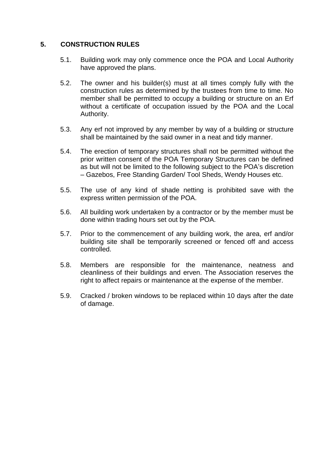## **5. CONSTRUCTION RULES**

- 5.1. Building work may only commence once the POA and Local Authority have approved the plans.
- 5.2. The owner and his builder(s) must at all times comply fully with the construction rules as determined by the trustees from time to time. No member shall be permitted to occupy a building or structure on an Erf without a certificate of occupation issued by the POA and the Local Authority.
- 5.3. Any erf not improved by any member by way of a building or structure shall be maintained by the said owner in a neat and tidy manner.
- 5.4. The erection of temporary structures shall not be permitted without the prior written consent of the POA Temporary Structures can be defined as but will not be limited to the following subject to the POA's discretion – Gazebos, Free Standing Garden/ Tool Sheds, Wendy Houses etc.
- 5.5. The use of any kind of shade netting is prohibited save with the express written permission of the POA.
- 5.6. All building work undertaken by a contractor or by the member must be done within trading hours set out by the POA.
- 5.7. Prior to the commencement of any building work, the area, erf and/or building site shall be temporarily screened or fenced off and access controlled.
- 5.8. Members are responsible for the maintenance, neatness and cleanliness of their buildings and erven. The Association reserves the right to affect repairs or maintenance at the expense of the member.
- 5.9. Cracked / broken windows to be replaced within 10 days after the date of damage.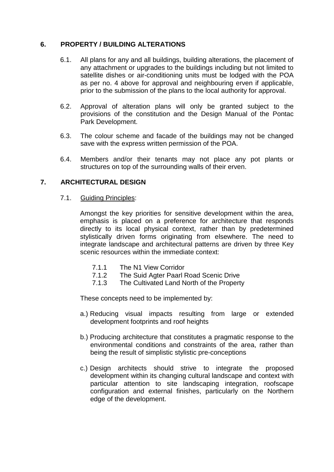## **6. PROPERTY / BUILDING ALTERATIONS**

- 6.1. All plans for any and all buildings, building alterations, the placement of any attachment or upgrades to the buildings including but not limited to satellite dishes or air-conditioning units must be lodged with the POA as per no. 4 above for approval and neighbouring erven if applicable, prior to the submission of the plans to the local authority for approval.
- 6.2. Approval of alteration plans will only be granted subject to the provisions of the constitution and the Design Manual of the Pontac Park Development.
- 6.3. The colour scheme and facade of the buildings may not be changed save with the express written permission of the POA.
- 6.4. Members and/or their tenants may not place any pot plants or structures on top of the surrounding walls of their erven.

# **7. ARCHITECTURAL DESIGN**

7.1. Guiding Principles:

Amongst the key priorities for sensitive development within the area, emphasis is placed on a preference for architecture that responds directly to its local physical context, rather than by predetermined stylistically driven forms originating from elsewhere. The need to integrate landscape and architectural patterns are driven by three Key scenic resources within the immediate context:

- 7.1.1 The N1 View Corridor
- 7.1.2 The Suid Agter Paarl Road Scenic Drive
- 7.1.3 The Cultivated Land North of the Property

These concepts need to be implemented by:

- a.) Reducing visual impacts resulting from large or extended development footprints and roof heights
- b.) Producing architecture that constitutes a pragmatic response to the environmental conditions and constraints of the area, rather than being the result of simplistic stylistic pre-conceptions
- c.) Design architects should strive to integrate the proposed development within its changing cultural landscape and context with particular attention to site landscaping integration, roofscape configuration and external finishes, particularly on the Northern edge of the development.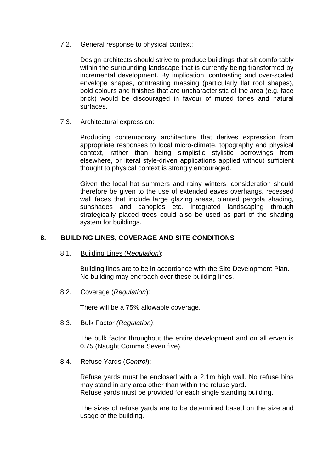## 7.2. General response to physical context:

Design architects should strive to produce buildings that sit comfortably within the surrounding landscape that is currently being transformed by incremental development. By implication, contrasting and over-scaled envelope shapes, contrasting massing (particularly flat roof shapes), bold colours and finishes that are uncharacteristic of the area (e.g. face brick) would be discouraged in favour of muted tones and natural surfaces.

# 7.3. Architectural expression:

Producing contemporary architecture that derives expression from appropriate responses to local micro-climate, topography and physical context, rather than being simplistic stylistic borrowings from elsewhere, or literal style-driven applications applied without sufficient thought to physical context is strongly encouraged.

Given the local hot summers and rainy winters, consideration should therefore be given to the use of extended eaves overhangs, recessed wall faces that include large glazing areas, planted pergola shading, sunshades and canopies etc. Integrated landscaping through strategically placed trees could also be used as part of the shading system for buildings.

# **8. BUILDING LINES, COVERAGE AND SITE CONDITIONS**

8.1. Building Lines (*Regulation*):

Building lines are to be in accordance with the Site Development Plan. No building may encroach over these building lines.

8.2. Coverage (*Regulation*):

There will be a 75% allowable coverage.

8.3. Bulk Factor *(Regulation)*:

The bulk factor throughout the entire development and on all erven is 0.75 (Naught Comma Seven five).

8.4. Refuse Yards (*Control*):

Refuse yards must be enclosed with a 2,1m high wall. No refuse bins may stand in any area other than within the refuse yard. Refuse yards must be provided for each single standing building.

The sizes of refuse yards are to be determined based on the size and usage of the building.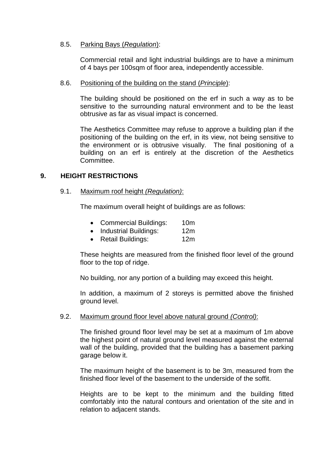#### 8.5. Parking Bays (*Regulation*):

Commercial retail and light industrial buildings are to have a minimum of 4 bays per 100sqm of floor area, independently accessible.

#### 8.6. Positioning of the building on the stand (*Principle*):

The building should be positioned on the erf in such a way as to be sensitive to the surrounding natural environment and to be the least obtrusive as far as visual impact is concerned.

The Aesthetics Committee may refuse to approve a building plan if the positioning of the building on the erf, in its view, not being sensitive to the environment or is obtrusive visually. The final positioning of a building on an erf is entirely at the discretion of the Aesthetics Committee.

#### **9. HEIGHT RESTRICTIONS**

#### 9.1. Maximum roof height *(Regulation)*:

The maximum overall height of buildings are as follows:

- Commercial Buildings: 10m
- Industrial Buildings: 12m
- Retail Buildings: 12m

These heights are measured from the finished floor level of the ground floor to the top of ridge.

No building, nor any portion of a building may exceed this height.

In addition, a maximum of 2 storeys is permitted above the finished ground level.

#### 9.2. Maximum ground floor level above natural ground *(Control)*:

The finished ground floor level may be set at a maximum of 1m above the highest point of natural ground level measured against the external wall of the building, provided that the building has a basement parking garage below it.

The maximum height of the basement is to be 3m, measured from the finished floor level of the basement to the underside of the soffit.

Heights are to be kept to the minimum and the building fitted comfortably into the natural contours and orientation of the site and in relation to adjacent stands.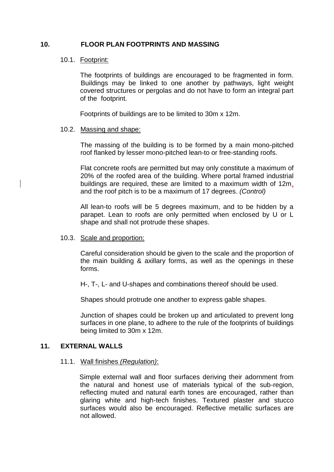#### **10. FLOOR PLAN FOOTPRINTS AND MASSING**

# 10.1. Footprint:

The footprints of buildings are encouraged to be fragmented in form. Buildings may be linked to one another by pathways, light weight covered structures or pergolas and do not have to form an integral part of the footprint.

Footprints of buildings are to be limited to 30m x 12m.

#### 10.2. Massing and shape:

The massing of the building is to be formed by a main mono-pitched roof flanked by lesser mono-pitched lean-to or free-standing roofs.

Flat concrete roofs are permitted but may only constitute a maximum of 20% of the roofed area of the building. Where portal framed industrial buildings are required, these are limited to a maximum width of 12m, and the roof pitch is to be a maximum of 17 degrees. *(Control)*

All lean-to roofs will be 5 degrees maximum, and to be hidden by a parapet. Lean to roofs are only permitted when enclosed by U or L shape and shall not protrude these shapes.

#### 10.3. Scale and proportion:

Careful consideration should be given to the scale and the proportion of the main building & axillary forms, as well as the openings in these forms.

H-, T-, L- and U-shapes and combinations thereof should be used.

Shapes should protrude one another to express gable shapes.

Junction of shapes could be broken up and articulated to prevent long surfaces in one plane, to adhere to the rule of the footprints of buildings being limited to 30m x 12m.

#### **11. EXTERNAL WALLS**

#### 11.1. Wall finishes *(Regulation)*:

Simple external wall and floor surfaces deriving their adornment from the natural and honest use of materials typical of the sub-region, reflecting muted and natural earth tones are encouraged, rather than glaring white and high-tech finishes. Textured plaster and stucco surfaces would also be encouraged. Reflective metallic surfaces are not allowed.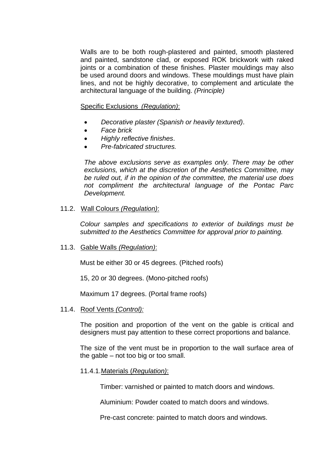Walls are to be both rough-plastered and painted, smooth plastered and painted, sandstone clad, or exposed ROK brickwork with raked joints or a combination of these finishes. Plaster mouldings may also be used around doors and windows. These mouldings must have plain lines, and not be highly decorative, to complement and articulate the architectural language of the building. *(Principle)*

Specific Exclusions *(Regulation)*:

- *Decorative plaster (Spanish or heavily textured)*.
- *Face brick*
- *Highly reflective finishes*.
- *Pre-fabricated structures.*

*The above exclusions serve as examples only. There may be other exclusions, which at the discretion of the Aesthetics Committee, may be ruled out, if in the opinion of the committee, the material use does not compliment the architectural language of the Pontac Parc Development.*

#### 11.2. Wall Colours *(Regulation)*:

*Colour samples and specifications to exterior of buildings must be submitted to the Aesthetics Committee for approval prior to painting.*

#### 11.3. Gable Walls *(Regulation)*:

Must be either 30 or 45 degrees. (Pitched roofs)

15, 20 or 30 degrees. (Mono-pitched roofs)

Maximum 17 degrees. (Portal frame roofs)

#### 11.4. Roof Vents *(Control):*

The position and proportion of the vent on the gable is critical and designers must pay attention to these correct proportions and balance.

The size of the vent must be in proportion to the wall surface area of the gable – not too big or too small.

#### 11.4.1.Materials (*Regulation)*:

Timber: varnished or painted to match doors and windows.

Aluminium: Powder coated to match doors and windows.

Pre-cast concrete: painted to match doors and windows.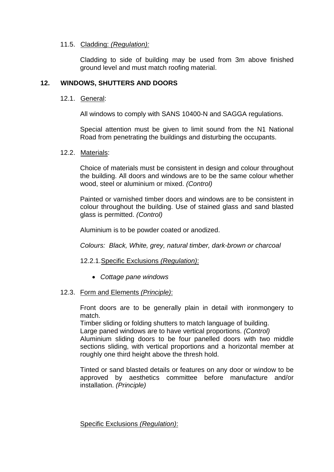#### 11.5. Cladding: *(Regulation):*

Cladding to side of building may be used from 3m above finished ground level and must match roofing material.

## **12. WINDOWS, SHUTTERS AND DOORS**

#### 12.1. General:

All windows to comply with SANS 10400-N and SAGGA regulations.

Special attention must be given to limit sound from the N1 National Road from penetrating the buildings and disturbing the occupants.

#### 12.2. Materials:

Choice of materials must be consistent in design and colour throughout the building. All doors and windows are to be the same colour whether wood, steel or aluminium or mixed. *(Control)*

Painted or varnished timber doors and windows are to be consistent in colour throughout the building. Use of stained glass and sand blasted glass is permitted. *(Control)* 

Aluminium is to be powder coated or anodized.

*Colours: Black, White, grey, natural timber, dark-brown or charcoal* 

#### 12.2.1.Specific Exclusions *(Regulation)*:

• *Cottage pane windows*

#### 12.3. Form and Elements *(Principle)*:

Front doors are to be generally plain in detail with ironmongery to match.

Timber sliding or folding shutters to match language of building. Large paned windows are to have vertical proportions. *(Control)*

Aluminium sliding doors to be four panelled doors with two middle sections sliding, with vertical proportions and a horizontal member at

roughly one third height above the thresh hold.

Tinted or sand blasted details or features on any door or window to be approved by aesthetics committee before manufacture and/or installation. *(Principle)*

Specific Exclusions *(Regulation)*: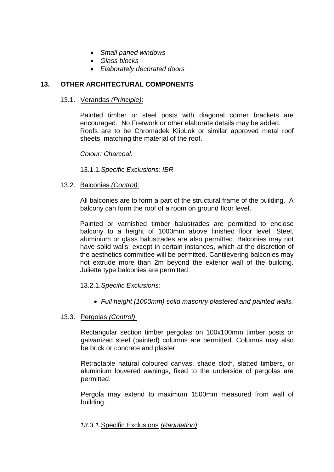- *Small paned windows*
- *Glass blocks*
- *Elaborately decorated doors*

# **13. OTHER ARCHITECTURAL COMPONENTS**

#### 13.1. Verandas *(Principle)*:

Painted timber or steel posts with diagonal corner brackets are encouraged. No Fretwork or other elaborate details may be added. Roofs are to be Chromadek KlipLok or similar approved metal roof sheets, matching the material of the roof.

*Colour: Charcoal.* 

13.1.1.*Specific Exclusions: IBR*

#### 13.2. Balconies *(Control)*:

All balconies are to form a part of the structural frame of the building. A balcony can form the roof of a room on ground floor level.

Painted or varnished timber balustrades are permitted to enclose balcony to a height of 1000mm above finished floor level. Steel, aluminium or glass balustrades are also permitted. Balconies may not have solid walls, except in certain instances, which at the discretion of the aesthetics committee will be permitted. Cantilevering balconies may not extrude more than 2m beyond the exterior wall of the building. Juliette type balconies are permitted.

#### 13.2.1.*Specific Exclusions:*

• *Full height (1000mm) solid masonry plastered and painted walls.*

#### 13.3. Pergolas *(Control)*:

Rectangular section timber pergolas on 100x100mm timber posts or galvanized steel (painted) columns are permitted. Columns may also be brick or concrete and plaster.

Retractable natural coloured canvas, shade cloth, slatted timbers, or aluminium louvered awnings, fixed to the underside of pergolas are permitted.

Pergola may extend to maximum 1500mm measured from wall of building.

#### *13.3.1.*Specific Exclusions *(Regulation)*: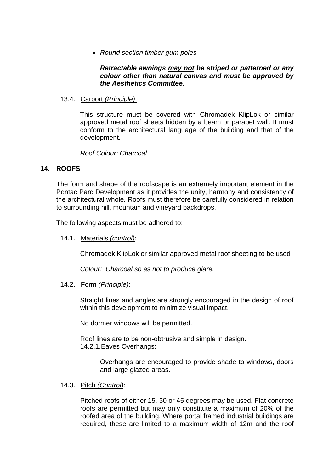• *Round section timber gum poles*

## *Retractable awnings may not be striped or patterned or any colour other than natural canvas and must be approved by the Aesthetics Committee.*

## 13.4. Carport *(Principle)*:

This structure must be covered with Chromadek KlipLok or similar approved metal roof sheets hidden by a beam or parapet wall. It must conform to the architectural language of the building and that of the development.

*Roof Colour: Charcoal*

# **14. ROOFS**

The form and shape of the roofscape is an extremely important element in the Pontac Parc Development as it provides the unity, harmony and consistency of the architectural whole. Roofs must therefore be carefully considered in relation to surrounding hill, mountain and vineyard backdrops.

The following aspects must be adhered to:

14.1. Materials *(control)*:

Chromadek KlipLok or similar approved metal roof sheeting to be used

*Colour: Charcoal so as not to produce glare.*

#### 14.2. Form *(Principle)*:

Straight lines and angles are strongly encouraged in the design of roof within this development to minimize visual impact.

No dormer windows will be permitted.

Roof lines are to be non-obtrusive and simple in design. 14.2.1.Eaves Overhangs:

> Overhangs are encouraged to provide shade to windows, doors and large glazed areas.

#### 14.3. Pitch *(Control)*:

Pitched roofs of either 15, 30 or 45 degrees may be used. Flat concrete roofs are permitted but may only constitute a maximum of 20% of the roofed area of the building. Where portal framed industrial buildings are required, these are limited to a maximum width of 12m and the roof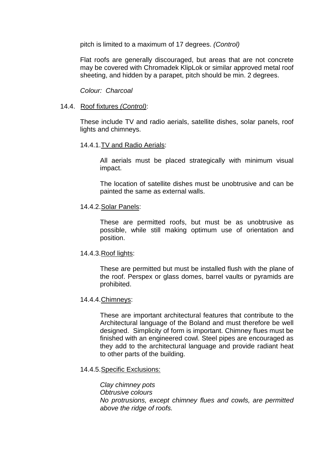pitch is limited to a maximum of 17 degrees. *(Control)*

Flat roofs are generally discouraged, but areas that are not concrete may be covered with Chromadek KlipLok or similar approved metal roof sheeting, and hidden by a parapet, pitch should be min. 2 degrees.

*Colour: Charcoal*

#### 14.4. Roof fixtures *(Control)*:

These include TV and radio aerials, satellite dishes, solar panels, roof lights and chimneys.

#### 14.4.1.TV and Radio Aerials:

All aerials must be placed strategically with minimum visual impact.

The location of satellite dishes must be unobtrusive and can be painted the same as external walls.

#### 14.4.2.Solar Panels:

These are permitted roofs, but must be as unobtrusive as possible, while still making optimum use of orientation and position.

#### 14.4.3.Roof lights:

These are permitted but must be installed flush with the plane of the roof. Perspex or glass domes, barrel vaults or pyramids are prohibited.

#### 14.4.4.Chimneys:

These are important architectural features that contribute to the Architectural language of the Boland and must therefore be well designed. Simplicity of form is important. Chimney flues must be finished with an engineered cowl. Steel pipes are encouraged as they add to the architectural language and provide radiant heat to other parts of the building.

#### 14.4.5.Specific Exclusions:

*Clay chimney pots Obtrusive colours No protrusions, except chimney flues and cowls, are permitted above the ridge of roofs.*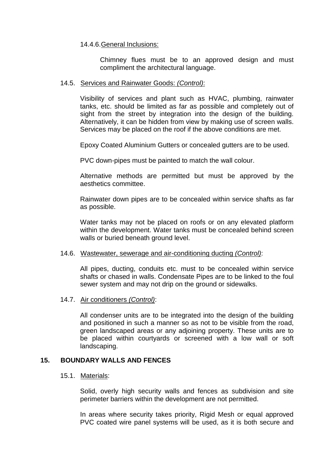#### 14.4.6.General Inclusions:

Chimney flues must be to an approved design and must compliment the architectural language.

#### 14.5. Services and Rainwater Goods: *(Control)*:

Visibility of services and plant such as HVAC, plumbing, rainwater tanks, etc. should be limited as far as possible and completely out of sight from the street by integration into the design of the building. Alternatively, it can be hidden from view by making use of screen walls. Services may be placed on the roof if the above conditions are met.

Epoxy Coated Aluminium Gutters or concealed gutters are to be used.

PVC down-pipes must be painted to match the wall colour.

Alternative methods are permitted but must be approved by the aesthetics committee.

Rainwater down pipes are to be concealed within service shafts as far as possible.

Water tanks may not be placed on roofs or on any elevated platform within the development. Water tanks must be concealed behind screen walls or buried beneath ground level.

#### 14.6. Wastewater, sewerage and air-conditioning ducting *(Control)*:

All pipes, ducting, conduits etc. must to be concealed within service shafts or chased in walls. Condensate Pipes are to be linked to the foul sewer system and may not drip on the ground or sidewalks.

#### 14.7. Air conditioners *(Control)*:

All condenser units are to be integrated into the design of the building and positioned in such a manner so as not to be visible from the road, green landscaped areas or any adjoining property. These units are to be placed within courtyards or screened with a low wall or soft landscaping.

#### **15. BOUNDARY WALLS AND FENCES**

#### 15.1. Materials:

Solid, overly high security walls and fences as subdivision and site perimeter barriers within the development are not permitted.

In areas where security takes priority, Rigid Mesh or equal approved PVC coated wire panel systems will be used, as it is both secure and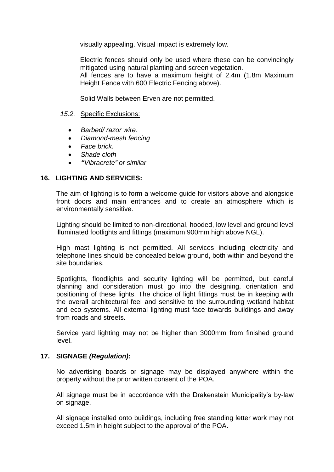visually appealing. Visual impact is extremely low.

Electric fences should only be used where these can be convincingly mitigated using natural planting and screen vegetation. All fences are to have a maximum height of 2.4m (1.8m Maximum Height Fence with 600 Electric Fencing above).

Solid Walls between Erven are not permitted.

#### *15.2.* Specific Exclusions:

- *Barbed/ razor wire*.
- *Diamond-mesh fencing*
- *Face brick*.
- *Shade cloth*
- *"Vibracrete" or similar*

#### **16. LIGHTING AND SERVICES:**

The aim of lighting is to form a welcome guide for visitors above and alongside front doors and main entrances and to create an atmosphere which is environmentally sensitive.

Lighting should be limited to non-directional, hooded, low level and ground level illuminated footlights and fittings (maximum 900mm high above NGL).

High mast lighting is not permitted. All services including electricity and telephone lines should be concealed below ground, both within and beyond the site boundaries.

Spotlights, floodlights and security lighting will be permitted, but careful planning and consideration must go into the designing, orientation and positioning of these lights. The choice of light fittings must be in keeping with the overall architectural feel and sensitive to the surrounding wetland habitat and eco systems. All external lighting must face towards buildings and away from roads and streets.

Service yard lighting may not be higher than 3000mm from finished ground level.

#### **17. SIGNAGE** *(Regulation)***:**

No advertising boards or signage may be displayed anywhere within the property without the prior written consent of the POA.

All signage must be in accordance with the Drakenstein Municipality's by-law on signage.

All signage installed onto buildings, including free standing letter work may not exceed 1.5m in height subject to the approval of the POA.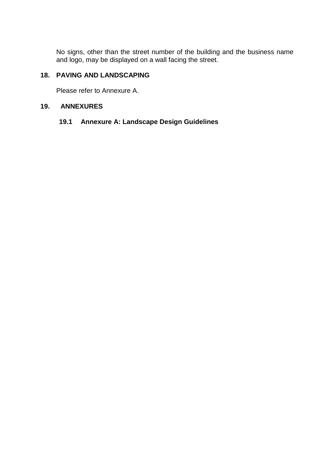No signs, other than the street number of the building and the business name and logo, may be displayed on a wall facing the street.

# **18. PAVING AND LANDSCAPING**

Please refer to Annexure A.

#### **19. ANNEXURES**

# **19.1 Annexure A: Landscape Design Guidelines**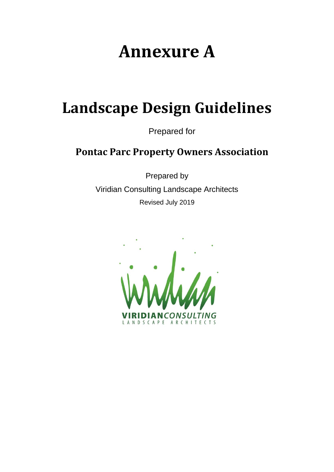# **Annexure A**

# **Landscape Design Guidelines**

Prepared for

# **Pontac Parc Property Owners Association**

Prepared by Viridian Consulting Landscape Architects Revised July 2019

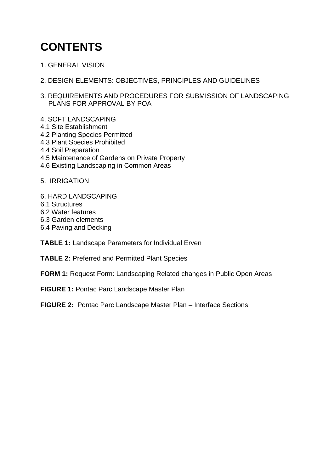# **CONTENTS**

- 1. GENERAL VISION
- 2. DESIGN ELEMENTS: OBJECTIVES, PRINCIPLES AND GUIDELINES
- 3. REQUIREMENTS AND PROCEDURES FOR SUBMISSION OF LANDSCAPING PLANS FOR APPROVAL BY POA
- 4. SOFT LANDSCAPING
- 4.1 Site Establishment
- 4.2 Planting Species Permitted
- 4.3 Plant Species Prohibited
- 4.4 Soil Preparation
- 4.5 Maintenance of Gardens on Private Property
- 4.6 Existing Landscaping in Common Areas
- 5. IRRIGATION
- 6. HARD LANDSCAPING
- 6.1 Structures
- 6.2 Water features
- 6.3 Garden elements
- 6.4 Paving and Decking

**TABLE 1:** Landscape Parameters for Individual Erven

- **TABLE 2:** Preferred and Permitted Plant Species
- **FORM 1: Request Form: Landscaping Related changes in Public Open Areas**
- **FIGURE 1:** Pontac Parc Landscape Master Plan
- **FIGURE 2:** Pontac Parc Landscape Master Plan Interface Sections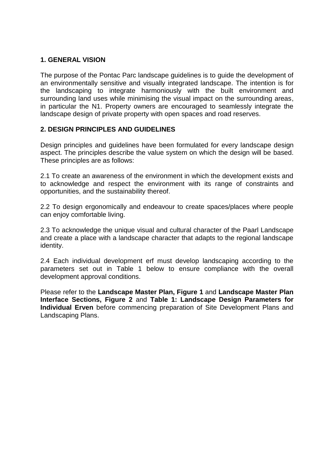# **1. GENERAL VISION**

The purpose of the Pontac Parc landscape guidelines is to guide the development of an environmentally sensitive and visually integrated landscape. The intention is for the landscaping to integrate harmoniously with the built environment and surrounding land uses while minimising the visual impact on the surrounding areas, in particular the N1. Property owners are encouraged to seamlessly integrate the landscape design of private property with open spaces and road reserves.

# **2. DESIGN PRINCIPLES AND GUIDELINES**

Design principles and guidelines have been formulated for every landscape design aspect. The principles describe the value system on which the design will be based. These principles are as follows:

2.1 To create an awareness of the environment in which the development exists and to acknowledge and respect the environment with its range of constraints and opportunities, and the sustainability thereof.

2.2 To design ergonomically and endeavour to create spaces/places where people can enjoy comfortable living.

2.3 To acknowledge the unique visual and cultural character of the Paarl Landscape and create a place with a landscape character that adapts to the regional landscape identity.

2.4 Each individual development erf must develop landscaping according to the parameters set out in Table 1 below to ensure compliance with the overall development approval conditions.

Please refer to the **Landscape Master Plan, Figure 1** and **Landscape Master Plan Interface Sections, Figure 2** and **Table 1: Landscape Design Parameters for Individual Erven** before commencing preparation of Site Development Plans and Landscaping Plans.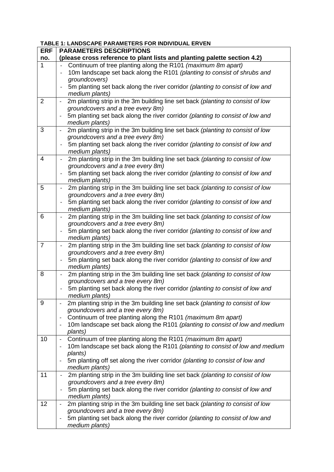| <b>ERF</b>     | <b>PARAMETERS DESCRIPTIONS</b>                                                                                                                                           |
|----------------|--------------------------------------------------------------------------------------------------------------------------------------------------------------------------|
| no.            | (please cross reference to plant lists and planting palette section 4.2)                                                                                                 |
| $\mathbf{1}$   | Continuum of tree planting along the R101 (maximum 8m apart)                                                                                                             |
|                | 10m landscape set back along the R101 (planting to consist of shrubs and                                                                                                 |
|                | groundcovers)                                                                                                                                                            |
|                | 5m planting set back along the river corridor (planting to consist of low and<br>$\overline{\phantom{a}}$                                                                |
|                | medium plants)                                                                                                                                                           |
| $\overline{2}$ | 2m planting strip in the 3m building line set back (planting to consist of low<br>$\overline{\phantom{a}}$                                                               |
|                | groundcovers and a tree every 8m)                                                                                                                                        |
|                | 5m planting set back along the river corridor (planting to consist of low and                                                                                            |
|                | medium plants)                                                                                                                                                           |
| 3              | 2m planting strip in the 3m building line set back (planting to consist of low<br>$\qquad \qquad -$                                                                      |
|                | groundcovers and a tree every 8m)<br>5m planting set back along the river corridor (planting to consist of low and                                                       |
|                | medium plants)                                                                                                                                                           |
| 4              | 2m planting strip in the 3m building line set back (planting to consist of low<br>$\overline{\phantom{a}}$                                                               |
|                | groundcovers and a tree every 8m)                                                                                                                                        |
|                | 5m planting set back along the river corridor (planting to consist of low and<br>$\overline{\phantom{a}}$                                                                |
|                | medium plants)                                                                                                                                                           |
| 5              | 2m planting strip in the 3m building line set back (planting to consist of low<br>$\overline{\phantom{a}}$                                                               |
|                | groundcovers and a tree every 8m)                                                                                                                                        |
|                | 5m planting set back along the river corridor (planting to consist of low and<br>$\overline{\phantom{a}}$                                                                |
|                | medium plants)                                                                                                                                                           |
| 6              | 2m planting strip in the 3m building line set back (planting to consist of low<br>$\overline{\phantom{a}}$                                                               |
|                | groundcovers and a tree every 8m)                                                                                                                                        |
|                | 5m planting set back along the river corridor (planting to consist of low and                                                                                            |
|                | medium plants)                                                                                                                                                           |
| $\overline{7}$ | 2m planting strip in the 3m building line set back (planting to consist of low<br>$\qquad \qquad \blacksquare$<br>groundcovers and a tree every 8m)                      |
|                | 5m planting set back along the river corridor (planting to consist of low and<br>$\overline{\phantom{a}}$                                                                |
|                | medium plants)                                                                                                                                                           |
| 8              | 2m planting strip in the 3m building line set back (planting to consist of low<br>$\overline{\phantom{a}}$                                                               |
|                | groundcovers and a tree every 8m)                                                                                                                                        |
|                | 5m planting set back along the river corridor (planting to consist of low and<br>$\qquad \qquad \blacksquare$                                                            |
|                | medium plants)                                                                                                                                                           |
| 9              | 2m planting strip in the 3m building line set back (planting to consist of low                                                                                           |
|                | groundcovers and a tree every 8m)                                                                                                                                        |
|                | Continuum of tree planting along the R101 (maximum 8m apart)                                                                                                             |
|                | 10m landscape set back along the R101 (planting to consist of low and medium                                                                                             |
| 10             | plants)                                                                                                                                                                  |
|                | Continuum of tree planting along the R101 (maximum 8m apart)<br>$\overline{\phantom{a}}$<br>10m landscape set back along the R101 (planting to consist of low and medium |
|                | plants)                                                                                                                                                                  |
|                | 5m planting off set along the river corridor (planting to consist of low and                                                                                             |
|                | medium plants)                                                                                                                                                           |
| 11             | 2m planting strip in the 3m building line set back (planting to consist of low                                                                                           |
|                | groundcovers and a tree every 8m)                                                                                                                                        |
|                | 5m planting set back along the river corridor (planting to consist of low and                                                                                            |
|                | medium plants)                                                                                                                                                           |
| 12             | 2m planting strip in the 3m building line set back (planting to consist of low                                                                                           |
|                | groundcovers and a tree every 8m)                                                                                                                                        |
|                | 5m planting set back along the river corridor (planting to consist of low and<br>$\overline{\phantom{a}}$                                                                |
|                | medium plants)                                                                                                                                                           |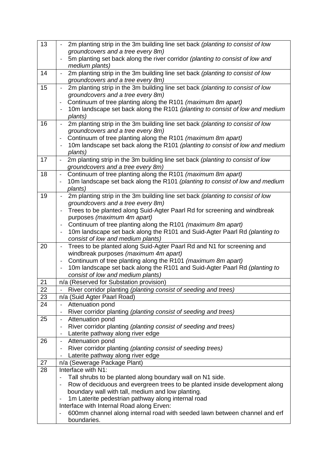| 13 | 2m planting strip in the 3m building line set back (planting to consist of low                               |
|----|--------------------------------------------------------------------------------------------------------------|
|    | groundcovers and a tree every 8m)                                                                            |
|    | 5m planting set back along the river corridor (planting to consist of low and                                |
|    | medium plants)                                                                                               |
| 14 | 2m planting strip in the 3m building line set back (planting to consist of low                               |
|    | groundcovers and a tree every 8m)                                                                            |
| 15 | 2m planting strip in the 3m building line set back (planting to consist of low<br>$\blacksquare$             |
|    | groundcovers and a tree every 8m)                                                                            |
|    | Continuum of tree planting along the R101 (maximum 8m apart)                                                 |
|    | 10m landscape set back along the R101 (planting to consist of low and medium                                 |
|    | plants)                                                                                                      |
| 16 | 2m planting strip in the 3m building line set back (planting to consist of low                               |
|    | groundcovers and a tree every 8m)                                                                            |
|    | Continuum of tree planting along the R101 (maximum 8m apart)<br>$\overline{\phantom{a}}$                     |
|    | 10m landscape set back along the R101 (planting to consist of low and medium<br>$\qquad \qquad \blacksquare$ |
|    | plants)                                                                                                      |
| 17 | 2m planting strip in the 3m building line set back (planting to consist of low<br>$\overline{\phantom{a}}$   |
|    | groundcovers and a tree every 8m)                                                                            |
| 18 | Continuum of tree planting along the R101 (maximum 8m apart)<br>$\overline{\phantom{a}}$                     |
|    | 10m landscape set back along the R101 (planting to consist of low and medium                                 |
|    | plants)                                                                                                      |
| 19 | 2m planting strip in the 3m building line set back (planting to consist of low<br>$\overline{\phantom{a}}$   |
|    | groundcovers and a tree every 8m)                                                                            |
|    | Trees to be planted along Suid-Agter Paarl Rd for screening and windbreak                                    |
|    | purposes (maximum 4m apart)                                                                                  |
|    | Continuum of tree planting along the R101 (maximum 8m apart)<br>$\qquad \qquad \blacksquare$                 |
|    | 10m landscape set back along the R101 and Suid-Agter Paarl Rd (planting to<br>$\qquad \qquad -$              |
|    | consist of low and medium plants)                                                                            |
| 20 | Trees to be planted along Suid-Agter Paarl Rd and N1 for screening and<br>$\blacksquare$                     |
|    | windbreak purposes (maximum 4m apart)                                                                        |
|    | Continuum of tree planting along the R101 (maximum 8m apart)<br>$\overline{\phantom{a}}$                     |
|    | 10m landscape set back along the R101 and Suid-Agter Paarl Rd (planting to<br>$\qquad \qquad \blacksquare$   |
|    | consist of low and medium plants)                                                                            |
| 21 | n/a (Reserved for Substation provision)                                                                      |
| 22 | River corridor planting (planting consist of seeding and trees)                                              |
| 23 | n/a (Suid Agter Paarl Road)                                                                                  |
| 24 | Attenuation pond                                                                                             |
|    | River corridor planting (planting consist of seeding and trees)                                              |
| 25 | Attenuation pond<br>$\overline{\phantom{a}}$                                                                 |
|    | River corridor planting (planting consist of seeding and trees)<br>$\qquad \qquad \blacksquare$              |
|    | Laterite pathway along river edge<br>$\overline{\phantom{a}}$                                                |
| 26 | Attenuation pond<br>$\blacksquare$                                                                           |
|    | River corridor planting (planting consist of seeding trees)<br>$\overline{\phantom{a}}$                      |
|    | Laterite pathway along river edge                                                                            |
| 27 | n/a (Sewerage Package Plant)                                                                                 |
| 28 | Interface with N1:                                                                                           |
|    | Tall shrubs to be planted along boundary wall on N1 side.                                                    |
|    | Row of deciduous and evergreen trees to be planted inside development along                                  |
|    | boundary wall with tall, medium and low planting.                                                            |
|    | 1m Laterite pedestrian pathway along internal road                                                           |
|    | Interface with Internal Road along Erven:                                                                    |
|    | 600mm channel along internal road with seeded lawn between channel and erf                                   |
|    | boundaries.                                                                                                  |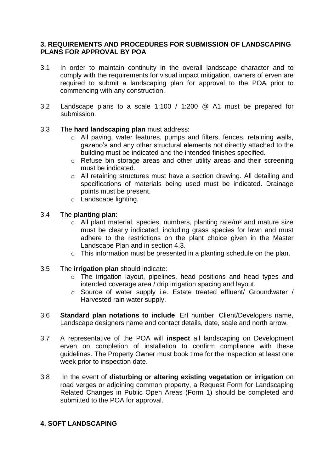## **3. REQUIREMENTS AND PROCEDURES FOR SUBMISSION OF LANDSCAPING PLANS FOR APPROVAL BY POA**

- 3.1 In order to maintain continuity in the overall landscape character and to comply with the requirements for visual impact mitigation, owners of erven are required to submit a landscaping plan for approval to the POA prior to commencing with any construction.
- 3.2 Landscape plans to a scale 1:100 / 1:200 @ A1 must be prepared for submission.

#### 3.3 The **hard landscaping plan** must address:

- o All paving, water features, pumps and filters, fences, retaining walls, gazebo's and any other structural elements not directly attached to the building must be indicated and the intended finishes specified.
- o Refuse bin storage areas and other utility areas and their screening must be indicated.
- o All retaining structures must have a section drawing. All detailing and specifications of materials being used must be indicated. Drainage points must be present.
- o Landscape lighting.

# 3.4 The **planting plan**:

- $\circ$  All plant material, species, numbers, planting rate/m<sup>2</sup> and mature size must be clearly indicated, including grass species for lawn and must adhere to the restrictions on the plant choice given in the Master Landscape Plan and in section 4.3.
- $\circ$  This information must be presented in a planting schedule on the plan.
- 3.5 The **irrigation plan** should indicate:
	- o The irrigation layout, pipelines, head positions and head types and intended coverage area / drip irrigation spacing and layout.
	- o Source of water supply i.e. Estate treated effluent/ Groundwater / Harvested rain water supply.
- 3.6 **Standard plan notations to include**: Erf number, Client/Developers name, Landscape designers name and contact details, date, scale and north arrow.
- 3.7 A representative of the POA will **inspect** all landscaping on Development erven on completion of installation to confirm compliance with these guidelines. The Property Owner must book time for the inspection at least one week prior to inspection date.
- 3.8 In the event of **disturbing or altering existing vegetation or irrigation** on road verges or adjoining common property, a Request Form for Landscaping Related Changes in Public Open Areas (Form 1) should be completed and submitted to the POA for approval.

# **4. SOFT LANDSCAPING**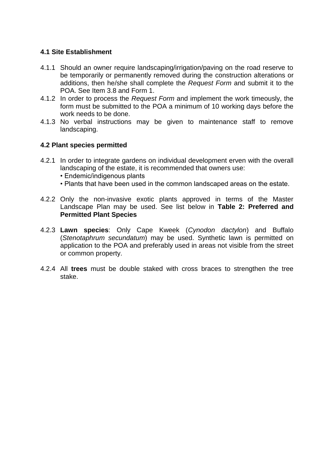# **4.1 Site Establishment**

- 4.1.1 Should an owner require landscaping/irrigation/paving on the road reserve to be temporarily or permanently removed during the construction alterations or additions, then he/she shall complete the *Request Form* and submit it to the POA. See Item 3.8 and Form 1.
- 4.1.2 In order to process the *Request Form* and implement the work timeously, the form must be submitted to the POA a minimum of 10 working days before the work needs to be done.
- 4.1.3 No verbal instructions may be given to maintenance staff to remove landscaping.

# **4.2 Plant species permitted**

- 4.2.1 In order to integrate gardens on individual development erven with the overall landscaping of the estate, it is recommended that owners use:
	- Endemic/indigenous plants
	- Plants that have been used in the common landscaped areas on the estate.
- 4.2.2 Only the non-invasive exotic plants approved in terms of the Master Landscape Plan may be used. See list below in **Table 2: Preferred and Permitted Plant Species**
- 4.2.3 **Lawn species**: Only Cape Kweek (*Cynodon dactylon*) and Buffalo (*Stenotaphrum secundatum*) may be used. Synthetic lawn is permitted on application to the POA and preferably used in areas not visible from the street or common property.
- 4.2.4 All **trees** must be double staked with cross braces to strengthen the tree stake.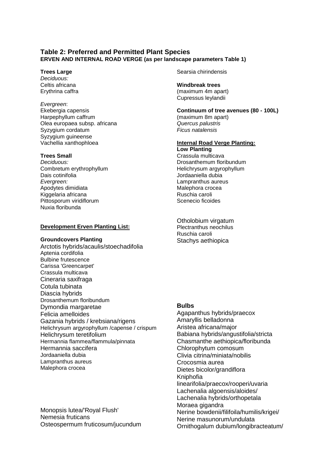#### **Table 2: Preferred and Permitted Plant Species ERVEN AND INTERNAL ROAD VERGE (as per landscape parameters Table 1)**

#### **Trees Large**

*Deciduous:* Celtis africana Erythrina caffra

#### *Evergreen*:

Ekebergia capensis Harpephyllum caffrum Olea europaea subsp. africana Syzygium cordatum Syzygium guineense Vachellia xanthophloea

#### **Trees Small**

*Deciduous:* Combretum erythrophyllum Dais cotinifolia *Evergreen:* Apodytes dimidiata Kiggelaria africana Pittosporum viridiflorum Nuxia floribunda

#### **Development Erven Planting List:**

#### **Groundcovers Planting**

Arctotis hybrids/acaulis/stoechadifolia Aptenia cordifolia Bulbine frutescence Carissa 'Greencarpet' Crassula multicava Cineraria saxifraga Cotula tubinata Diascia hybrids Drosanthemum floribundum Dymondia margaretae Felicia amelloides Gazania hybrids / krebsiana/rigens Helichrysum argyrophyllum /capense / crispum Helichrysum teretifolium Hermannia flammea/flammula/pinnata Hermannia saccifera Jordaaniella dubia Lampranthus aureus Malephora crocea

Monopsis lutea/'Royal Flush' Nemesia fruticans Osteospermum fruticosum/jucundum Searsia chirindensis

**Windbreak trees**  (maximum 4m apart) Cupressus leylandii

**Continuum of tree avenues (80 - 100L)**  (maximum 8m apart) *Quercus palustris Ficus natalensis*

#### **Internal Road Verge Planting: Low Planting**

Crassula multicava Drosanthemum floribundum Helichrysum argyrophyllum Jordaaniella dubia Lampranthus aureus Malephora crocea Ruschia caroli Scenecio ficoides

Otholobium virgatum Plectranthus neochilus Ruschia caroli Stachys aethiopica

#### **Bulbs**

Agapanthus hybrids/praecox Amaryllis belladonna Aristea africana/major Babiana hybrids/angustifolia/stricta Chasmanthe aethiopica/floribunda Chlorophytum comosum Clivia citrina/miniata/nobilis Crocosmia aurea Dietes bicolor/grandiflora Kniphofia linearifolia/praecox/rooperi/uvaria Lachenalia algoensis/aloides/ Lachenalia hybrids/orthopetala Moraea gigandra Nerine bowdenii/filifoila/humilis/krigei/ Nerine masunorum/undulata Ornithogalum dubium/longibracteatum/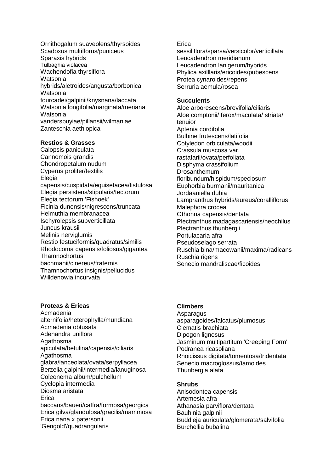Ornithogalum suaveolens/thyrsoides Scadoxus multiflorus/puniceus Sparaxis hybrids Tulbaghia violacea Wachendofia thyrsiflora Watsonia hybrids/aletroides/angusta/borbonica Watsonia fourcadei/galpinii/knysnana/laccata Watsonia longifolia/marginata/meriana Watsonia vanderspuyiae/pillansii/wilmaniae Zanteschia aethiopica

#### **Restios & Grasses**

Calopsis paniculata Cannomois grandis Chondropetalum nudum Cyperus prolifer/textilis Elegia capensis/cuspidata/equisetacea/fistulosa Elegia persistens/stipularis/tectorum Elegia tectorum 'Fishoek' Ficinia dunensis/nigrescens/truncata Helmuthia membranacea Ischyrolepsis subverticillata Juncus krausii Melinis nerviglumis Restio festuciformis/quadratus/similis Rhodocoma capensis/foliosus/gigantea **Thamnochortus** bachmanii/cinereus/fraternis Thamnochortus insignis/pellucidus Willdenowia incurvata

#### **Proteas & Ericas**

Acmadenia alternifolia/heterophylla/mundiana Acmadenia obtusata Adenandra uniflora Agathosma apiculata/betulina/capensis/ciliaris Agathosma glabra/lanceolata/ovata/serpyllacea Berzelia galpinii/intermedia/lanuginosa Coleonema album/pulchellum Cyclopia intermedia Diosma aristata Erica baccans/baueri/caffra/formosa/georgica Erica gilva/glandulosa/gracilis/mammosa Erica nana x patersonii 'Gengold'/quadrangularis

#### **Erica**

sessiliflora/sparsa/versicolor/verticillata Leucadendron meridianum Leucadendron lanigerum/hybrids Phylica axilllaris/ericoides/pubescens Protea cynaroides/repens Serruria aemula/rosea

#### **Succulents**

Aloe arborescens/brevifolia/ciliaris Aloe comptonii/ ferox/maculata/ striata/ tenuior Aptenia cordifolia Bulbine frutescens/latifolia Cotyledon orbiculata/woodii Crassula muscosa var. rastafarii/ovata/perfoliata Disphyma crassifolium Drosanthemum floribundum/hispidum/speciosum Euphorbia burmanii/mauritanica Jordaaniella dubia Lampranthus hybrids/aureus/coralliflorus Malephora crocea Othonna capensis/dentata Plectranthus madagascariensis/neochilus Plectranthus thunbergii Portulacaria afra Pseudoselago serrata Ruschia bina/macowanii/maxima/radicans Ruschia rigens Senecio mandraliscae/ficoides

#### **Climbers**

Asparagus asparagoides/falcatus/plumosus Clematis brachiata Dipogon lignosus Jasminum multipartitum 'Creeping Form' Podranea ricasoliana Rhoicissus digitata/tomentosa/tridentata Senecio macroglossus/tamoides Thunbergia alata

#### **Shrubs**

Anisodontea capensis Artemesia afra Athanasia parviflora/dentata Bauhinia galpinii Buddleja auriculata/glomerata/salvifolia Burchellia bubalina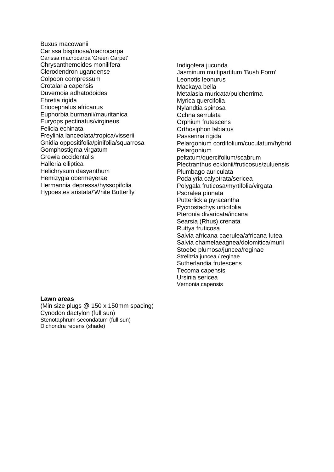- Buxus macowanii Carissa bispinosa/macrocarpa Carissa macrocarpa 'Green Carpet' Chrysanthemoides monilifera Clerodendron ugandense Colpoon compressum Crotalaria capensis Duvernoia adhatodoides Ehretia rigida Eriocephalus africanus Euphorbia burmanii/mauritanica Euryops pectinatus/virgineus Felicia echinata Freylinia lanceolata/tropica/visserii Gnidia oppositifolia/pinifolia/squarrosa Gomphostigma virgatum Grewia occidentalis Halleria elliptica Helichrysum dasyanthum Hemizygia obermeyerae Hermannia depressa/hyssopifolia Hypoestes aristata/'White Butterfly'
- Indigofera jucunda Jasminum multipartitum 'Bush Form' Leonotis leonurus Mackaya bella Metalasia muricata/pulcherrima Myrica quercifolia Nylandtia spinosa Ochna serrulata Orphium frutescens Orthosiphon labiatus Passerina rigida Pelargonium cordifolium/cuculatum/hybrid Pelargonium peltatum/quercifolium/scabrum Plectranthus ecklonii/fruticosus/zuluensis Plumbago auriculata Podalyria calyptrata/sericea Polygala fruticosa/myrtifolia/virgata Psoralea pinnata Putterlickia pyracantha Pycnostachys urticifolia Pteronia divaricata/incana Searsia (Rhus) crenata Ruttya fruticosa Salvia africana-caerulea/africana-lutea Salvia chamelaeagnea/dolomitica/murii Stoebe plumosa/juncea/reginae Strelitzia juncea / reginae Sutherlandia frutescens Tecoma capensis Ursinia sericea Vernonia capensis

#### **Lawn areas**

(Min size plugs @ 150 x 150mm spacing) Cynodon dactylon (full sun) Stenotaphrum secondatum (full sun) Dichondra repens (shade)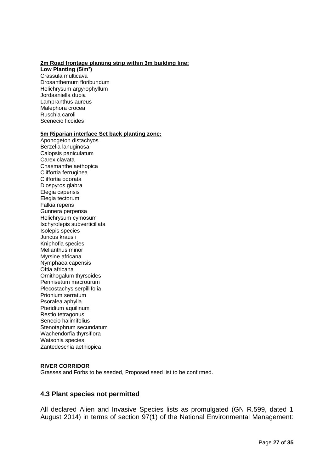#### **2m Road frontage planting strip within 3m building line:**

**Low Planting (5/m²)** Crassula multicava Drosanthemum floribundum Helichrysum argyrophyllum Jordaaniella dubia Lampranthus aureus Malephora crocea Ruschia caroli Scenecio ficoides

#### **5m Riparian interface Set back planting zone:**

Aponogeton distachyos Berzelia lanuginosa Calopsis paniculatum Carex clavata Chasmanthe aethopica Cliffortia ferruginea Cliffortia odorata Diospyros glabra Elegia capensis Elegia tectorum Falkia repens Gunnera perpensa Helichrysum cymosum Ischyrolepis subverticillata Isolepis species Juncus krausii Kniphofia species Melianthus minor Myrsine africana Nymphaea capensis Oftia africana Ornithogalum thyrsoides Pennisetum macrourum Plecostachys serpillifolia Prionium serratum Psoralea aphylla Pteridium aquilinum Restio tetragonus Senecio halimifolius Stenotaphrum secundatum Wachendorfia thyrsiflora Watsonia species Zantedeschia aethiopica

#### **RIVER CORRIDOR**

Grasses and Forbs to be seeded, Proposed seed list to be confirmed.

#### **4.3 Plant species not permitted**

All declared Alien and Invasive Species lists as promulgated (GN R.599, dated 1 August 2014) in terms of section 97(1) of the National Environmental Management: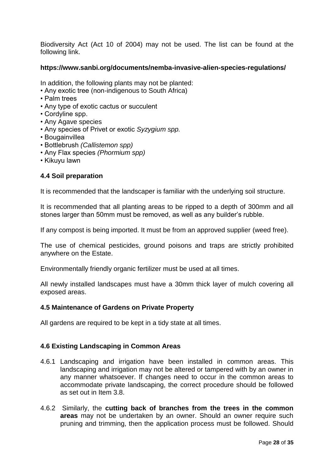Biodiversity Act (Act 10 of 2004) may not be used. The list can be found at the following link.

#### **https://www.sanbi.org/documents/nemba-invasive-alien-species-regulations/**

In addition, the following plants may not be planted:

- Any exotic tree (non-indigenous to South Africa)
- Palm trees
- Any type of exotic cactus or succulent
- Cordyline spp.
- Any Agave species
- Any species of Privet or exotic *Syzygium spp.*
- Bougainvillea
- Bottlebrush *(Callistemon spp)*
- Any Flax species *(Phormium spp)*
- Kikuyu lawn

#### **4.4 Soil preparation**

It is recommended that the landscaper is familiar with the underlying soil structure.

It is recommended that all planting areas to be ripped to a depth of 300mm and all stones larger than 50mm must be removed, as well as any builder's rubble.

If any compost is being imported. It must be from an approved supplier (weed free).

The use of chemical pesticides, ground poisons and traps are strictly prohibited anywhere on the Estate.

Environmentally friendly organic fertilizer must be used at all times.

All newly installed landscapes must have a 30mm thick layer of mulch covering all exposed areas.

#### **4.5 Maintenance of Gardens on Private Property**

All gardens are required to be kept in a tidy state at all times.

#### **4.6 Existing Landscaping in Common Areas**

- 4.6.1 Landscaping and irrigation have been installed in common areas. This landscaping and irrigation may not be altered or tampered with by an owner in any manner whatsoever. If changes need to occur in the common areas to accommodate private landscaping, the correct procedure should be followed as set out in Item 3.8.
- 4.6.2 Similarly, the **cutting back of branches from the trees in the common areas** may not be undertaken by an owner. Should an owner require such pruning and trimming, then the application process must be followed. Should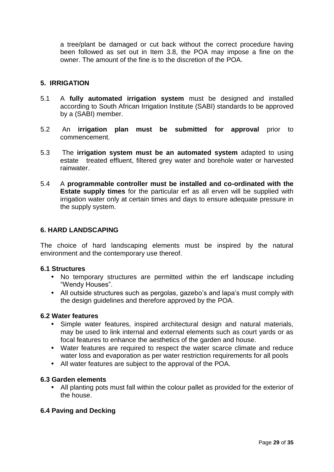a tree/plant be damaged or cut back without the correct procedure having been followed as set out in Item 3.8, the POA may impose a fine on the owner. The amount of the fine is to the discretion of the POA.

#### **5. IRRIGATION**

- 5.1 A **fully automated irrigation system** must be designed and installed according to South African Irrigation Institute (SABI) standards to be approved by a (SABI) member.
- 5.2 An **irrigation plan must be submitted for approval** prior to commencement.
- 5.3 The **irrigation system must be an automated system** adapted to using estate treated effluent, filtered grey water and borehole water or harvested rainwater.
- 5.4 A **programmable controller must be installed and co-ordinated with the Estate supply times** for the particular erf as all erven will be supplied with irrigation water only at certain times and days to ensure adequate pressure in the supply system.

#### **6. HARD LANDSCAPING**

The choice of hard landscaping elements must be inspired by the natural environment and the contemporary use thereof.

#### **6.1 Structures**

- No temporary structures are permitted within the erf landscape including "Wendy Houses".
- All outside structures such as pergolas, gazebo's and lapa's must comply with the design guidelines and therefore approved by the POA.

#### **6.2 Water features**

- Simple water features, inspired architectural design and natural materials, may be used to link internal and external elements such as court yards or as focal features to enhance the aesthetics of the garden and house.
- Water features are required to respect the water scarce climate and reduce water loss and evaporation as per water restriction requirements for all pools
- All water features are subject to the approval of the POA.

#### **6.3 Garden elements**

• All planting pots must fall within the colour pallet as provided for the exterior of the house.

#### **6.4 Paving and Decking**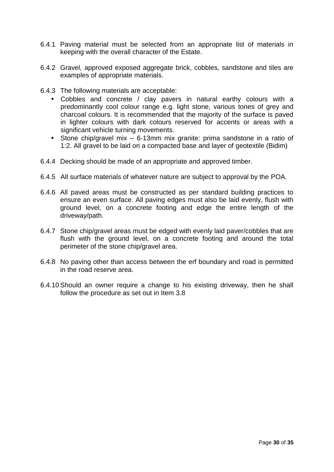- 6.4.1 Paving material must be selected from an appropriate list of materials in keeping with the overall character of the Estate.
- 6.4.2 Gravel, approved exposed aggregate brick, cobbles, sandstone and tiles are examples of appropriate materials.
- 6.4.3 The following materials are acceptable:
	- Cobbles and concrete / clay pavers in natural earthy colours with a predominantly cool colour range e.g. light stone, various tones of grey and charcoal colours. It is recommended that the majority of the surface is paved in lighter colours with dark colours reserved for accents or areas with a significant vehicle turning movements.
	- Stone chip/gravel mix 6-13mm mix granite: prima sandstone in a ratio of 1:2. All gravel to be laid on a compacted base and layer of geotextile (Bidim)
- 6.4.4 Decking should be made of an appropriate and approved timber.
- 6.4.5 All surface materials of whatever nature are subject to approval by the POA.
- 6.4.6 All paved areas must be constructed as per standard building practices to ensure an even surface. All paving edges must also be laid evenly, flush with ground level, on a concrete footing and edge the entire length of the driveway/path.
- 6.4.7 Stone chip/gravel areas must be edged with evenly laid paver/cobbles that are flush with the ground level, on a concrete footing and around the total perimeter of the stone chip/gravel area.
- 6.4.8 No paving other than access between the erf boundary and road is permitted in the road reserve area.
- 6.4.10Should an owner require a change to his existing driveway, then he shall follow the procedure as set out in Item 3.8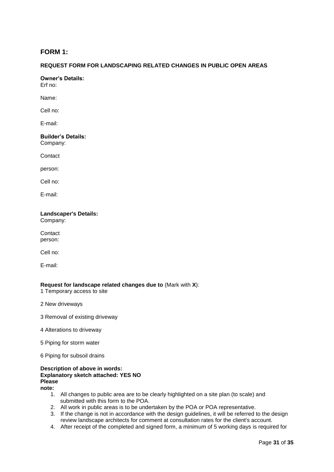#### **FORM 1:**

#### **REQUEST FORM FOR LANDSCAPING RELATED CHANGES IN PUBLIC OPEN AREAS**

**Owner's Details:**

Erf no:

Name:

Cell no:

E-mail:

#### **Builder's Details:** Company:

**Contact** 

person:

Cell no:

E-mail:

#### **Landscaper's Details:** Company:

**Contact** person:

Cell no:

E-mail:

#### **Request for landscape related changes due to** (Mark with **X**):

1 Temporary access to site

- 2 New driveways
- 3 Removal of existing driveway
- 4 Alterations to driveway
- 5 Piping for storm water
- 6 Piping for subsoil drains

#### **Description of above in words: Explanatory sketch attached: YES NO Please note:**

- 1. All changes to public area are to be clearly highlighted on a site plan (to scale) and submitted with this form to the POA.
- 2. All work in public areas is to be undertaken by the POA or POA representative.
- 3. If the change is not in accordance with the design guidelines, it will be referred to the design review landscape architects for comment at consultation rates for the client's account.
- 4. After receipt of the completed and signed form, a minimum of 5 working days is required for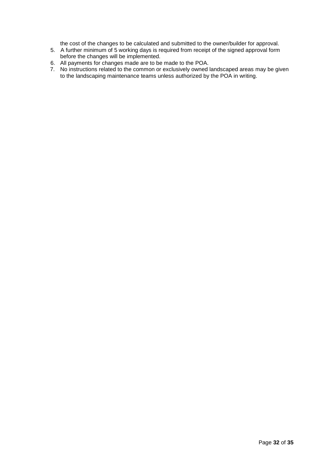the cost of the changes to be calculated and submitted to the owner/builder for approval.

- 5. A further minimum of 5 working days is required from receipt of the signed approval form before the changes will be implemented.
- 6. All payments for changes made are to be made to the POA.
- 7. No instructions related to the common or exclusively owned landscaped areas may be given to the landscaping maintenance teams unless authorized by the POA in writing.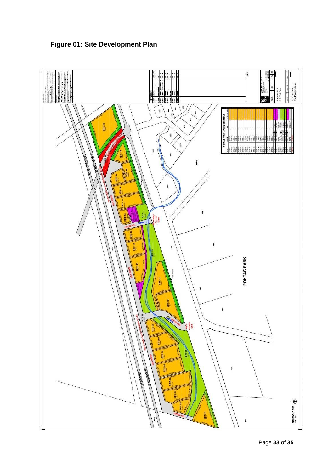

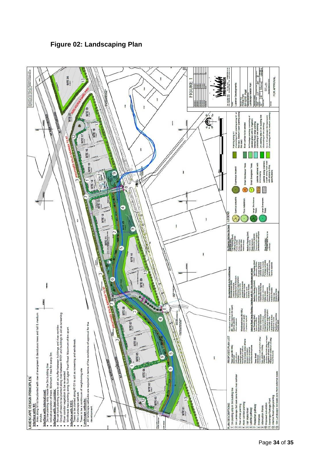